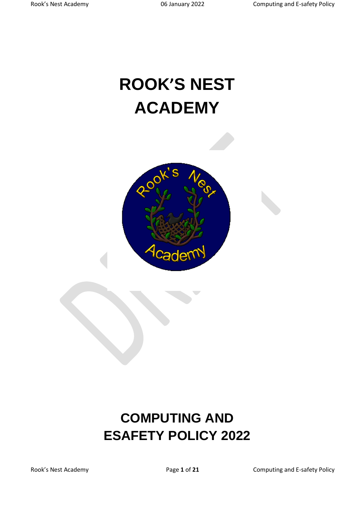# **ROOK'S NEST ACADEMY**



# **COMPUTING AND ESAFETY POLICY 2022**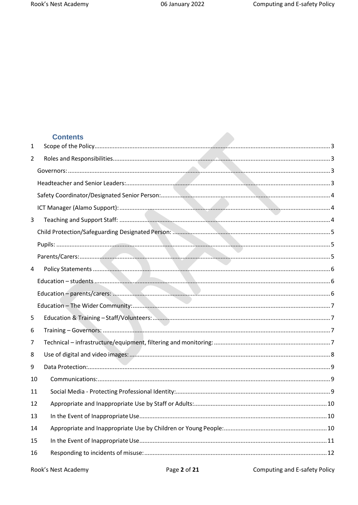# **Contents**

| 1              |  |
|----------------|--|
| $\overline{2}$ |  |
|                |  |
|                |  |
|                |  |
|                |  |
| 3              |  |
|                |  |
|                |  |
|                |  |
| 4              |  |
|                |  |
|                |  |
|                |  |
| 5              |  |
| 6              |  |
| 7              |  |
| 8              |  |
| 9              |  |
| 10             |  |
| 11             |  |
| 12             |  |
| 13             |  |
| 14             |  |
| 15             |  |
| 16             |  |
|                |  |

Computing and E-safety Policy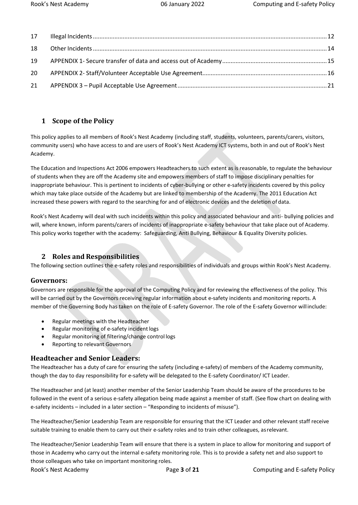#### <span id="page-2-0"></span>**1 Scope of the Policy**

This policy applies to all members of Rook's Nest Academy (including staff, students, volunteers, parents/carers, visitors, community users) who have access to and are users of Rook's Nest Academy ICT systems, both in and out of Rook's Nest Academy.

The Education and Inspections Act 2006 empowers Headteachers to such extent as is reasonable, to regulate the behaviour of students when they are off the Academy site and empowers members of staff to impose disciplinary penalties for inappropriate behaviour. This is pertinent to incidents of cyber-bullying or other e-safety incidents covered by this policy which may take place outside of the Academy but are linked to membership of the Academy. The 2011 Education Act increased these powers with regard to the searching for and of electronic devices and the deletion of data.

Rook's Nest Academy will deal with such incidents within this policy and associated behaviour and anti- bullying policies and will, where known, inform parents/carers of incidents of inappropriate e-safety behaviour that take place out of Academy. This policy works together with the academy: Safeguarding, Anti Bullying, Behaviour & Equality Diversity policies.

#### <span id="page-2-1"></span>**2 Roles and Responsibilities**

The following section outlines the e-safety roles and responsibilities of individuals and groups within Rook's Nest Academy.

#### <span id="page-2-2"></span>**Governors:**

Governors are responsible for the approval of the Computing Policy and for reviewing the effectiveness of the policy. This will be carried out by the Governors receiving regular information about e-safety incidents and monitoring reports. A member of the Governing Body has taken on the role of E-safety Governor. The role of the E-safety Governor willinclude:

- Regular meetings with the Headteacher
- Regular monitoring of e-safety incident logs
- Regular monitoring of filtering/change control logs
- Reporting to relevant Governors

#### <span id="page-2-3"></span>**Headteacher and Senior Leaders:**

The Headteacher has a duty of care for ensuring the safety (including e-safety) of members of the Academy community, though the day to day responsibility for e-safety will be delegated to the E-safety Coordinator/ ICT Leader.

The Headteacher and (at least) another member of the Senior Leadership Team should be aware of the procedures to be followed in the event of a serious e-safety allegation being made against a member of staff. (See flow chart on dealing with e-safety incidents – included in a later section – "Responding to incidents of misuse").

The Headteacher/Senior Leadership Team are responsible for ensuring that the ICT Leader and other relevant staff receive suitable training to enable them to carry out their e-safety roles and to train other colleagues, asrelevant.

Rook's Nest Academy **Page 3 of 21** Computing and E-safety Policy The Headteacher/Senior Leadership Team will ensure that there is a system in place to allow for monitoring and support of those in Academy who carry out the internal e-safety monitoring role. This is to provide a safety net and also support to those colleagues who take on important monitoring roles.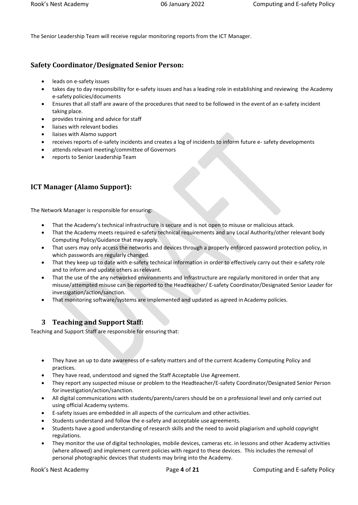The Senior Leadership Team will receive regular monitoring reports from the ICT Manager.

# <span id="page-3-0"></span>**Safety Coordinator/Designated Senior Person:**

- leads on e-safety issues
- takes day to day responsibility for e-safety issues and has a leading role in establishing and reviewing the Academy e-safety policies/documents
- Ensures that all staff are aware of the procedures that need to be followed in the event of an e-safety incident taking place.
- provides training and advice forstaff
- liaises with relevant bodies
- liaises with Alamo support
- receives reports of e-safety incidents and creates a log of incidents to inform future e- safety developments
- attends relevant meeting/committee of Governors
- reports to Senior Leadership Team

# <span id="page-3-1"></span>**ICT Manager (Alamo Support):**

The Network Manager is responsible for ensuring:

- That the Academy's technical infrastructure is secure and is not open to misuse or malicious attack.
- That the Academy meets required e-safety technical requirements and any Local Authority/other relevant body Computing Policy/Guidance that may apply.
- That users may only access the networks and devices through a properly enforced password protection policy, in which passwords are regularly changed.
- That they keep up to date with e-safety technical information in order to effectively carry out their e-safety role and to inform and update others asrelevant.
- That the use of the any networked environments and infrastructure are regularly monitored in order that any misuse/attempted misuse can be reported to the Headteacher/ E-safety Coordinator/Designated Senior Leader for investigation/action/sanction.
- <span id="page-3-2"></span>That monitoring software/systems are implemented and updated as agreed in Academy policies.

# **3 Teaching and Support Staff:**

Teaching and Support Staff are responsible for ensuring that:

- They have an up to date awareness of e-safety matters and of the current Academy Computing Policy and practices.
- They have read, understood and signed the Staff Acceptable Use Agreement.
- They report any suspected misuse or problem to the Headteacher/E-safety Coordinator/Designated Senior Person for investigation/action/sanction.
- All digital communications with students/parents/carers should be on a professional level and only carried out using official Academy systems.
- E-safety issues are embedded in all aspects of the curriculum and other activities.
- Students understand and follow the e-safety and acceptable useagreements.
- Students have a good understanding of research skills and the need to avoid plagiarism and uphold copyright regulations.
- They monitor the use of digital technologies, mobile devices, cameras etc. in lessons and other Academy activities (where allowed) and implement current policies with regard to these devices. This includes the removal of personal photographic devices that students may bring into the Academy.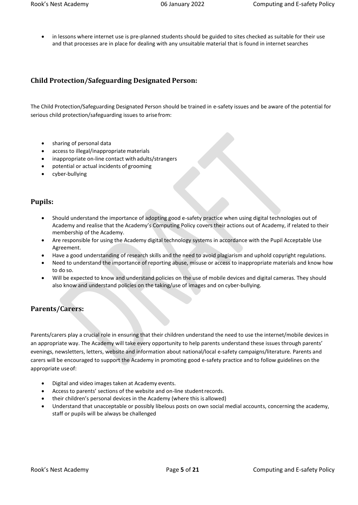in lessons where internet use is pre-planned students should be guided to sites checked as suitable for their use and that processes are in place for dealing with any unsuitable material that is found in internet searches

# <span id="page-4-0"></span>**Child Protection/Safeguarding Designated Person:**

The Child Protection/Safeguarding Designated Person should be trained in e-safety issues and be aware of the potential for serious child protection/safeguarding issues to arisefrom:

- sharing of personal data
- access to illegal/inappropriate materials
- inappropriate on-line contact with adults/strangers
- potential or actual incidents of grooming
- cyber-bullying

# <span id="page-4-1"></span>**Pupils:**

- Should understand the importance of adopting good e-safety practice when using digital technologies out of Academy and realise that the Academy's Computing Policy covers their actions out of Academy, if related to their membership of the Academy.
- Are responsible for using the Academy digital technology systems in accordance with the Pupil Acceptable Use Agreement.
- Have a good understanding of research skills and the need to avoid plagiarism and uphold copyright regulations.
- Need to understand the importance of reporting abuse, misuse or access to inappropriate materials and know how to do so.
- Will be expected to know and understand policies on the use of mobile devices and digital cameras. They should also know and understand policies on the taking/use of images and on cyber-bullying.

# <span id="page-4-2"></span>**Parents/Carers:**

Parents/carers play a crucial role in ensuring that their children understand the need to use the internet/mobile devices in an appropriate way. The Academy will take every opportunity to help parents understand these issues through parents' evenings, newsletters, letters, website and information about national/local e-safety campaigns/literature. Parents and carers will be encouraged to support the Academy in promoting good e-safety practice and to follow guidelines on the appropriate useof:

- Digital and video images taken at Academy events.
- Access to parents' sections of the website and on-line student records.
- their children's personal devices in the Academy (where this is allowed)
- Understand that unacceptable or possibly libelous posts on own social medial accounts, concerning the academy, staff or pupils will be always be challenged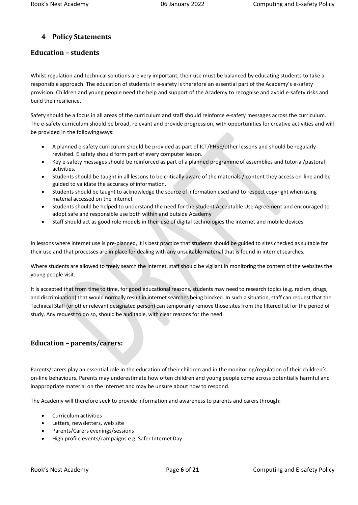# <span id="page-5-0"></span>**4 Policy Statements**

### <span id="page-5-1"></span>**Education – students**

Whilst regulation and technical solutions are very important, their use must be balanced by educating students to take a responsible approach. The education of students in e-safety is therefore an essential part of the Academy's e-safety provision. Children and young people need the help and support of the Academy to recognise and avoid e-safety risks and build theirresilience.

Safety should be a focus in all areas of the curriculum and staff should reinforce e-safety messages across the curriculum. The e-safety curriculum should be broad, relevant and provide progression, with opportunities for creative activities and will be provided in the followingways:

- A planned e-safety curriculum should be provided as part of ICT/PHSE/other lessons and should be regularly revisited. E safety should form part of every computer lesson.
- Key e-safety messages should be reinforced as part of a planned programme of assemblies and tutorial/pastoral activities.
- Students should be taught in all lessons to be critically aware of the materials / content they access on-line and be guided to validate the accuracy of information.
- Students should be taught to acknowledge the source of information used and to respect copyright when using material accessed on the internet
- Students should be helped to understand the need for the student Acceptable Use Agreement and encouraged to adopt safe and responsible use both within and outside Academy
- Staff should act as good role models in their use of digital technologies the internet and mobile devices

In lessons where internet use is pre-planned, it is best practice that students should be guided to sites checked as suitable for their use and that processes are in place for dealing with any unsuitable material that is found in internet searches.

Where students are allowed to freely search the internet, staff should be vigilant in monitoring the content of the websites the young people visit.

It is accepted that from time to time, for good educational reasons, students may need to research topics (e.g. racism, drugs, and discrimination) that would normally result in internet searches being blocked. In such a situation, staff can request that the Technical Staff (or other relevant designated person) can temporarily remove those sites from the filtered list for the period of study. Any request to do so, should be auditable, with clear reasons for the need.

#### <span id="page-5-2"></span>**Education – parents/carers:**

Parents/carers play an essential role in the education of their children and in themonitoring/regulation of their children's on-line behaviours. Parents may underestimate how often children and young people come across potentially harmful and inappropriate material on the internet and may be unsure about how to respond.

The Academy will therefore seek to provide information and awareness to parents and carersthrough:

- Curriculum activities
- Letters, newsletters, web site
- Parents/Carers evenings/sessions
- High profile events/campaigns e.g. Safer Internet Day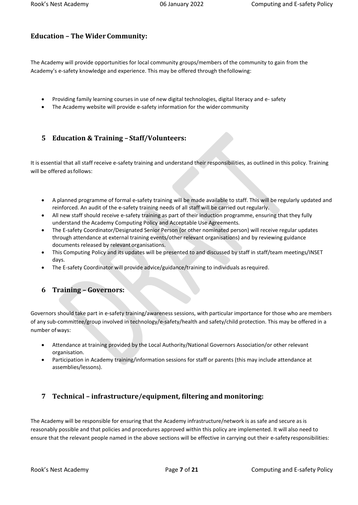# <span id="page-6-0"></span>**Education – The Wider Community:**

The Academy will provide opportunities for local community groups/members of the community to gain from the Academy's e-safety knowledge and experience. This may be offered through thefollowing:

- Providing family learning courses in use of new digital technologies, digital literacy and e- safety
- The Academy website will provide e-safety information for the wider community

# <span id="page-6-1"></span>**5 Education & Training – Staff/Volunteers:**

It is essential that all staff receive e-safety training and understand their responsibilities, as outlined in this policy. Training will be offered asfollows:

- A planned programme of formal e-safety training will be made available to staff. This will be regularly updated and reinforced. An audit of the e-safety training needs of all staff will be carried out regularly.
- All new staff should receive e-safety training as part of their induction programme, ensuring that they fully understand the Academy Computing Policy and Acceptable Use Agreements.
- The E-safety Coordinator/Designated Senior Person (or other nominated person) will receive regular updates through attendance at external training events/other relevant organisations) and by reviewing guidance documents released by relevant organisations.
- This Computing Policy and its updates will be presented to and discussed by staff in staff/team meetings/INSET days.
- <span id="page-6-2"></span>The E-safety Coordinator will provide advice/guidance/training to individuals asrequired.

# **6 Training – Governors:**

Governors should take part in e-safety training/awareness sessions, with particular importance for those who are members of any sub-committee/group involved in technology/e-safety/health and safety/child protection. This may be offered in a number ofways:

- Attendance at training provided by the Local Authority/National Governors Association/or other relevant organisation.
- Participation in Academy training/information sessions for staff or parents (this may include attendance at assemblies/lessons).

# <span id="page-6-3"></span>**7 Technical – infrastructure/equipment, filtering and monitoring:**

The Academy will be responsible for ensuring that the Academy infrastructure/network is as safe and secure as is reasonably possible and that policies and procedures approved within this policy are implemented. It will also need to ensure that the relevant people named in the above sections will be effective in carrying out their e-safety responsibilities: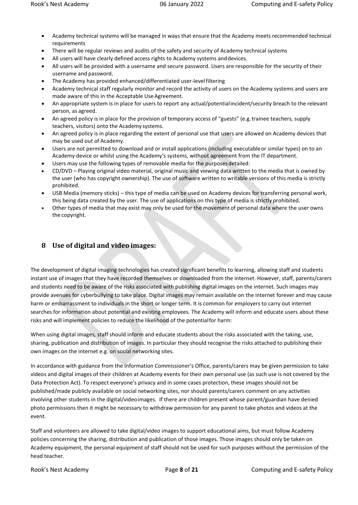- Academy technical systems will be managed in ways that ensure that the Academy meets recommended technical requirements
- There will be regular reviews and audits of the safety and security of Academy technical systems
- All users will have clearly defined access rights to Academy systems anddevices.
- All users will be provided with a username and secure password. Users are responsible for the security of their username and password.
- The Academy has provided enhanced/differentiated user-levelfiltering
- Academy technical staff regularly monitor and record the activity of users on the Academy systems and users are made aware of this in the Acceptable Use Agreement.
- An appropriate system is in place for users to report any actual/potentialincident/security breach to the relevant person, as agreed.
- An agreed policy is in place for the provision of temporary access of "guests" (e.g.trainee teachers, supply teachers, visitors) onto the Academy systems.
- An agreed policy is in place regarding the extent of personal use that users are allowed on Academy devices that may be used out of Academy.
- Users are not permitted to download and or install applications (including executableor similar types) on to an Academy device or whilst using the Academy's systems, without agreement from the IT department.
- Users may use the following types of removable media for the purposesdetailed:
- CD/DVD Playing original video material, original music and viewing data written to the media that is owned by the user (who has copyright ownership). The use of software written to writable versions of this media is strictly prohibited.
- USB Media (memory sticks) this type of media can be used on Academy devices for transferring personal work, this being data created by the user. The use of applications on this type of media is strictly prohibited.
- Other types of media that may exist may only be used for the movement of personal data where the user owns the copyright.

#### <span id="page-7-0"></span>**8 Use of digital and video images:**

The development of digital imaging technologies has created significant benefits to learning, allowing staff and students instant use of images that they have recorded themselves or downloaded from the internet. However, staff, parents/carers and students need to be aware of the risks associated with publishing digital images on the internet. Such images may provide avenues for cyberbullying to take place. Digital images may remain available on the internet forever and may cause harm or embarrassment to individuals in the short or longer term. It is common for employers to carry out internet searches for information about potential and existing employees. The Academy will inform and educate users about these risks and will implement policies to reduce the likelihood of the potentialfor harm:

When using digital images, staff should inform and educate students about the risks associated with the taking, use, sharing, publication and distribution of images. In particular they should recognise the risks attached to publishing their own images on the internet e.g. on social networking sites.

In accordance with guidance from the Information Commissioner's Office, parents/carers may be given permission to take videos and digital images of their children at Academy events for their own personal use (as such use is not covered by the Data Protection Act). To respect everyone's privacy and in some cases protection, these images should not be published/made publicly available on social networking sites, nor should parents/carers comment on any activities involving other students in the digital/videoimages. If there are children present whose parent/guardian have denied photo permissions then it might be necessary to withdraw permission for any parent to take photos and videos at the event.

Staff and volunteers are allowed to take digital/video images to support educational aims, but must follow Academy policies concerning the sharing, distribution and publication of those images. Those images should only be taken on Academy equipment, the personal equipment of staff should not be used for such purposes without the permission of the head teacher.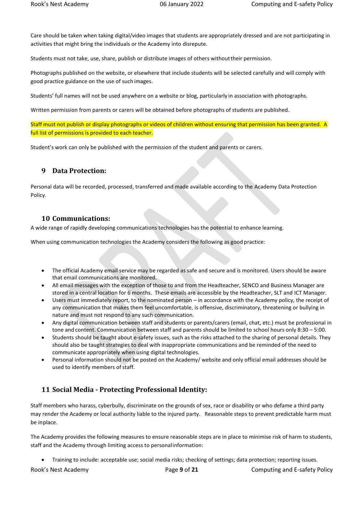Care should be taken when taking digital/video images that students are appropriately dressed and are not participating in activities that might bring the individuals or the Academy into disrepute.

Students must not take, use, share, publish or distribute images of others withouttheir permission.

Photographs published on the website, or elsewhere that include students will be selected carefully and will comply with good practice guidance on the use of such images.

Students' full names will not be used anywhere on a website or blog, particularly in association with photographs.

Written permission from parents or carers will be obtained before photographs of students are published.

Staff must not publish or display photographs or videos of children without ensuring that permission has been granted. A full list of permissions is provided to each teacher.

<span id="page-8-0"></span>Student's work can only be published with the permission of the student and parents or carers.

#### **9 Data Protection:**

Personal data will be recorded, processed, transferred and made available according to the Academy Data Protection Policy.

#### <span id="page-8-1"></span>**10 Communications:**

A wide range of rapidly developing communications technologies has the potential to enhance learning.

When using communication technologies the Academy considers the following as good practice:

- The official Academy email service may be regarded as safe and secure and is monitored. Users should be aware that email communications are monitored.
- All email messages with the exception of those to and from the Headteacher, SENCO and Business Manager are stored in a central location for 6 months. These emails are accessible by the Headteacher, SLT and ICT Manager.
- Users must immediately report, to the nominated person in accordance with the Academy policy, the receipt of any communication that makes them feel uncomfortable, is offensive, discriminatory, threatening or bullying in nature and must not respond to any such communication.
- Any digital communication between staff and students or parents/carers (email, chat, etc.) must be professional in tone and content. Communication between staff and parents should be limited to school hours only 8:30 – 5:00.
- Students should be taught about e-safety issues, such as the risks attached to the sharing of personal details. They should also be taught strategies to deal with inappropriate communications and be reminded of the need to communicate appropriately when using digital technologies.
- <span id="page-8-2"></span> Personal information should not be posted on the Academy/ website and only official email addresses should be used to identify members of staff.

#### **11 Social Media - Protecting Professional Identity:**

Staff members who harass, cyberbully, discriminate on the grounds of sex, race or disability or who defame a third party may render the Academy or local authority liable to the injured party. Reasonable steps to prevent predictable harm must be inplace.

The Academy provides the following measures to ensure reasonable steps are in place to minimise risk of harm to students, staff and the Academy through limiting access to personalinformation:

Training to include: acceptable use; social media risks; checking of settings; data protection; reporting issues.

Rook's Nest Academy Page **9** of **21** Computing and E-safety Policy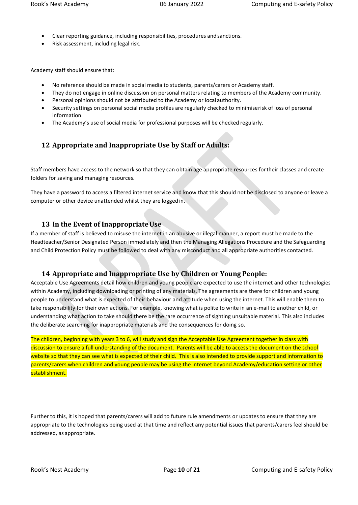- Clear reporting guidance, including responsibilities, procedures and sanctions.
- Risk assessment, including legal risk.

Academy staff should ensure that:

- No reference should be made in social media to students, parents/carers or Academy staff.
- They do not engage in online discussion on personal matters relating to members of the Academy community.
- Personal opinions should not be attributed to the Academy or local authority.
- Security settings on personal social media profiles are regularly checked to minimiserisk of loss of personal information.
- <span id="page-9-0"></span>The Academy's use of social media for professional purposes will be checked regularly.

# **12 Appropriate and Inappropriate Use by Staff or Adults:**

Staff members have access to the network so that they can obtain age appropriate resources fortheir classes and create folders for saving and managing resources.

They have a password to access a filtered internet service and know that this should not be disclosed to anyone or leave a computer or other device unattended whilst they are logged in.

# <span id="page-9-1"></span>**13 In the Event of InappropriateUse**

If a member of staff is believed to misuse the internet in an abusive or illegal manner, a report must be made to the Headteacher/Senior Designated Person immediately and then the Managing Allegations Procedure and the Safeguarding and Child Protection Policy must be followed to deal with any misconduct and all appropriate authorities contacted.

# <span id="page-9-2"></span>**14 Appropriate and Inappropriate Use by Children or Young People:**

Acceptable Use Agreements detail how children and young people are expected to use the internet and other technologies within Academy, including downloading or printing of any materials. The agreements are there for children and young people to understand what is expected of their behaviour and attitude when using the internet. This will enable them to take responsibility for their own actions. For example, knowing what is polite to write in an e-mail to another child, or understanding what action to take should there be the rare occurrence of sighting unsuitablematerial. This also includes the deliberate searching for inappropriate materials and the consequences for doing so.

The children, beginning with years 3 to 6, will study and sign the Acceptable Use Agreement together in class with discussion to ensure a full understanding of the document. Parents will be able to access the document on the school website so that they can see what is expected of their child. This is also intended to provide support and information to parents/carers when children and young people may be using the Internet beyond Academy/education setting or other establishment.

Further to this, it is hoped that parents/carers will add to future rule amendments or updates to ensure that they are appropriate to the technologies being used at that time and reflect any potential issues that parents/carers feel should be addressed, as appropriate.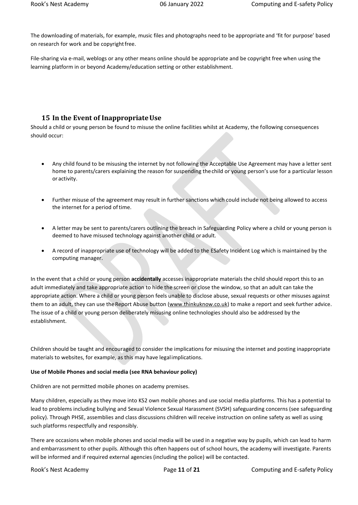The downloading of materials, for example, music files and photographs need to be appropriate and 'fit for purpose' based on research for work and be copyright free.

File-sharing via e-mail, weblogs or any other means online should be appropriate and be copyright free when using the learning platform in or beyond Academy/education setting or other establishment.

#### <span id="page-10-0"></span>**15 In the Event of InappropriateUse**

Should a child or young person be found to misuse the online facilities whilst at Academy, the following consequences should occur:

- Any child found to be misusing the internet by not following the Acceptable Use Agreement may have a letter sent home to parents/carers explaining the reason for suspending thechild or young person's use for a particular lesson or activity.
- Further misuse of the agreement may result in further sanctions which could include not being allowed to access the internet for a period of time.
- A letter may be sent to parents/carers outlining the breach in Safeguarding Policy where a child or young person is deemed to have misused technology against another child or adult.
- A record of inappropriate use of technology will be added to the ESafety Incident Log which is maintained by the computing manager.

In the event that a child or young person **accidentally** accesses inappropriate materials the child should report this to an adult immediately and take appropriate action to hide the screen or close the window, so that an adult can take the appropriate action. Where a child or young person feels unable to disclose abuse, sexual requests or other misuses against them to an adult, they can use the Report Abuse button [\(www.thinkuknow.co.uk\)](http://www.thinkuknow.co.uk/) to make a report and seek further advice. The issue of a child or young person deliberately misusing online technologies should also be addressed by the establishment.

Children should be taught and encouraged to consider the implications for misusing the internet and posting inappropriate materials to websites, for example, as this may have legalimplications.

#### **Use of Mobile Phones and social media (see RNA behaviour policy)**

Children are not permitted mobile phones on academy premises.

Many children, especially as they move into KS2 own mobile phones and use social media platforms. This has a potential to lead to problems including bullying and Sexual Violence Sexual Harassment (SVSH) safeguarding concerns (see safeguarding policy). Through PHSE, assemblies and class discussions children will receive instruction on online safety as well as using such platforms respectfully and responsibly.

There are occasions when mobile phones and social media will be used in a negative way by pupils, which can lead to harm and embarrassment to other pupils. Although this often happens out of school hours, the academy will investigate. Parents will be informed and if required external agencies (including the police) will be contacted.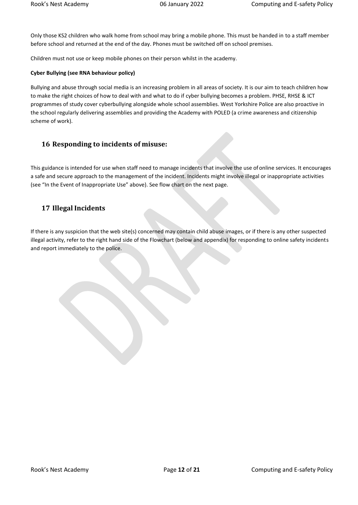Only those KS2 children who walk home from school may bring a mobile phone. This must be handed in to a staff member before school and returned at the end of the day. Phones must be switched off on school premises.

Children must not use or keep mobile phones on their person whilst in the academy.

#### **Cyber Bullying (see RNA behaviour policy)**

Bullying and abuse through social media is an increasing problem in all areas of society. It is our aim to teach children how to make the right choices of how to deal with and what to do if cyber bullying becomes a problem. PHSE, RHSE & ICT programmes of study cover cyberbullying alongside whole school assemblies. West Yorkshire Police are also proactive in the school regularly delivering assemblies and providing the Academy with POLED (a crime awareness and citizenship scheme of work).

#### <span id="page-11-0"></span>**16 Responding to incidents of misuse:**

This guidance is intended for use when staff need to manage incidents that involve the use ofonline services. It encourages a safe and secure approach to the management of the incident. Incidents might involve illegal or inappropriate activities (see "In the Event of Inappropriate Use" above). See flow chart on the next page.

#### <span id="page-11-1"></span>**17 Illegal Incidents**

If there is any suspicion that the web site(s) concerned may contain child abuse images, or if there is any other suspected illegal activity, refer to the right hand side of the Flowchart (below and appendix) for responding to online safety incidents and report immediately to the police.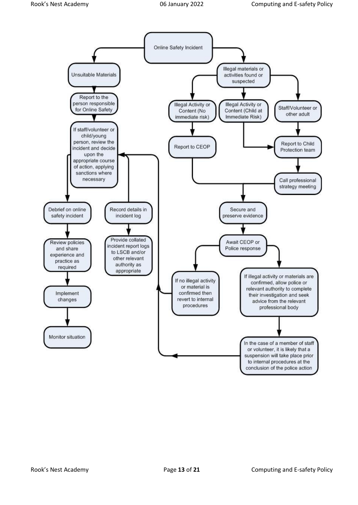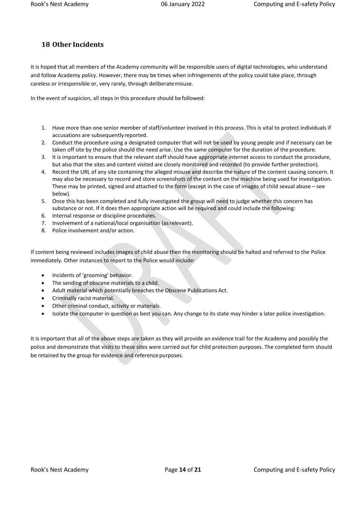# <span id="page-13-0"></span>**18 Other Incidents**

It is hoped that all members of the Academy community will be responsible users of digital technologies, who understand and follow Academy policy. However, there may be times when infringements of the policy could take place, through careless or irresponsible or, very rarely, through deliberatemisuse.

In the event of suspicion, all steps in this procedure should be followed:

- 1. Have more than one senior member of staff/volunteer involved in this process. This is vital to protect individuals if accusations are subsequently reported.
- 2. Conduct the procedure using a designated computer that will not be used by young people and if necessary can be taken off site by the police should the need arise. Use the same computer for the duration of the procedure.
- 3. It is important to ensure that the relevant staff should have appropriate internet access to conduct the procedure, but also that the sites and content visited are closely monitored and recorded (to provide further protection).
- 4. Record the URL of any site containing the alleged misuse and describe the nature of the content causing concern. It may also be necessary to record and store screenshots of the content on the machine being used for investigation. These may be printed, signed and attached to the form (except in the case of images of child sexual abuse – see below).
- 5. Once this has been completed and fully investigated the group will need to judge whether this concern has substance or not. If it does then appropriate action will be required and could include the following:
- 6. Internal response or discipline procedures.
- 7. Involvement of a national/local organisation (asrelevant).
- 8. Police involvement and/or action.

If content being reviewed includes images of child abuse then the monitoring should be halted and referred to the Police immediately. Other instances to report to the Police would include:

- Incidents of 'grooming' behavior.
- The sending of obscene materials to a child.
- Adult material which potentially breaches the Obscene Publications Act.
- Criminally racist material.
- Other criminal conduct, activity or materials.
- Isolate the computer in question as best you can. Any change to its state may hinder a later police investigation.

It is important that all of the above steps are taken as they will provide an evidence trail for the Academy and possibly the police and demonstrate that visits to these sites were carried out for child protection purposes. The completed form should be retained by the group for evidence and reference purposes.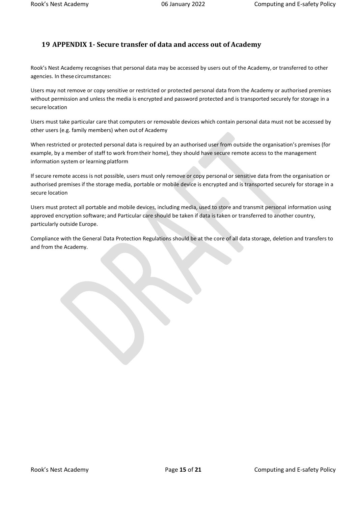# <span id="page-14-0"></span>**19 APPENDIX 1- Secure transfer of data and access out of Academy**

Rook's Nest Academy recognises that personal data may be accessed by users out of the Academy, or transferred to other agencies. In these circumstances:

Users may not remove or copy sensitive or restricted or protected personal data from the Academy or authorised premises without permission and unless the media is encrypted and password protected and is transported securely for storage in a secure location

Users must take particular care that computers or removable devices which contain personal data must not be accessed by other users (e.g. family members) when out of Academy

When restricted or protected personal data is required by an authorised user from outside the organisation's premises (for example, by a member of staff to work fromtheir home), they should have secure remote access to the management information system or learning platform

If secure remote access is not possible, users must only remove or copy personal or sensitive data from the organisation or authorised premises if the storage media, portable or mobile device is encrypted and is transported securely for storage in a secure location

Users must protect all portable and mobile devices, including media, used to store and transmit personal information using approved encryption software; and Particular care should be taken if data is taken or transferred to another country, particularly outside Europe.

Compliance with the General Data Protection Regulations should be at the core of all data storage, deletion and transfers to and from the Academy.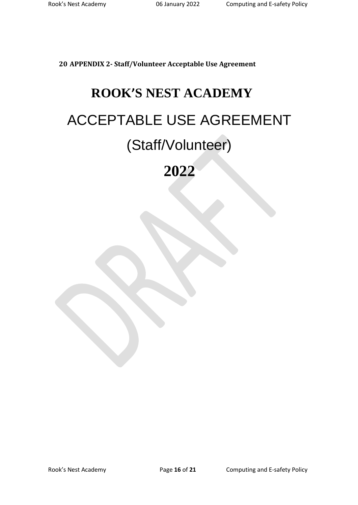<span id="page-15-0"></span>**20 APPENDIX 2- Staff/Volunteer Acceptable Use Agreement**

# **ROOK'S NEST ACADEMY** ACCEPTABLE USE AGREEMENT (Staff/Volunteer)

**2022**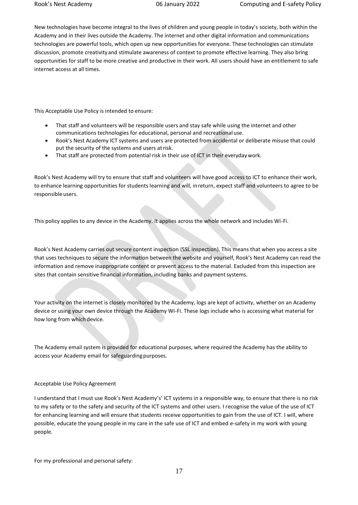New technologies have become integral to the lives of children and young people in today's society, both within the Academy and in their lives outside the Academy. The internet and other digital information and communications technologies are powerful tools, which open up new opportunities for everyone. These technologies can stimulate discussion, promote creativityand stimulate awareness of context to promote effective learning. They also bring opportunities for staff to be more creative and productive in their work. All users should have an entitlement to safe internet access at all times.

This Acceptable Use Policy is intended to ensure:

- That staff and volunteers will be responsible users and stay safe while using the internet and other communications technologies for educational, personal and recreational use.
- Rook's Nest Academy ICT systems and users are protected from accidental or deliberate misuse that could put the security of the systems and users atrisk.
- That staff are protected from potential risk in their use of ICT in their everydaywork.

Rook's Nest Academy will try to ensure that staff and volunteers will have good access to ICT to enhance their work, to enhance learning opportunities for students learning and will, inreturn, expect staff and volunteers to agree to be responsible users.

This policy applies to any device in the Academy. It applies across the whole network and includes Wi-Fi.

Rook's Nest Academy carries out secure content inspection (SSL inspection). This means that when you access a site that uses techniques to secure the information between the website and yourself, Rook's Nest Academy can read the information and remove inappropriate content or prevent access to the material. Excluded from this inspection are sites that contain sensitive financial information, including banks and payment systems.

Your activity on the internet is closely monitored by the Academy, logs are kept of activity, whether on an Academy device or using your own device through the Academy Wi-Fi. These logs include who is accessing what material for how long from which device.

The Academy email system is provided for educational purposes, where required the Academy has the ability to access your Academy email for safeguarding purposes.

#### Acceptable Use Policy Agreement

I understand that I must use Rook's Nest Academy's' ICT systems in a responsible way, to ensure that there is no risk to my safety or to the safety and security of the ICT systems and other users. I recognise the value of the use of ICT for enhancing learning and will ensure that students receive opportunities to gain from the use of ICT. I will, where possible, educate the young people in my care in the safe use of ICT and embed e-safety in my work with young people.

For my professional and personal safety: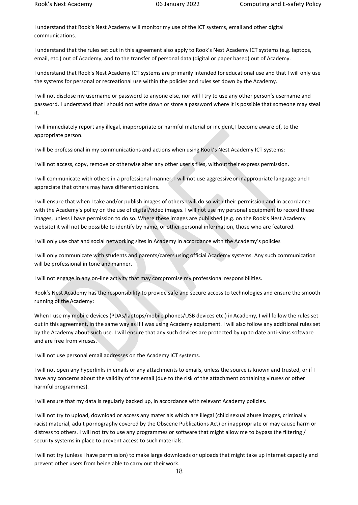I understand that Rook's Nest Academy will monitor my use of the ICT systems, email and other digital communications.

I understand that the rules set out in this agreement also apply to Rook's Nest Academy ICT systems (e.g. laptops, email, etc.) out of Academy, and to the transfer of personal data (digital or paper based) out of Academy.

I understand that Rook's Nest Academy ICT systems are primarily intended for educational use and that I will only use the systems for personal or recreational use within the policies and rules set down by the Academy.

I will not disclose my username or password to anyone else, nor will I try to use any other person's username and password. I understand that I should not write down or store a password where it is possible that someone may steal it.

I will immediately report any illegal, inappropriate or harmful material or incident,I become aware of, to the appropriate person.

I will be professional in my communications and actions when using Rook's Nest Academy ICT systems:

I will not access, copy, remove or otherwise alter any other user's files, withouttheir express permission.

I will communicate with others in a professional manner, I will not use aggressiveor inappropriate language and I appreciate that others may have differentopinions.

I will ensure that when I take and/or publish images of others I will do so with their permission and in accordance with the Academy's policy on the use of digital/video images. I will not use my personal equipment to record these images, unless I have permission to do so. Where these images are published (e.g. on the Rook's Nest Academy website) it will not be possible to identify by name, or other personal information, those who are featured.

I will only use chat and social networking sites in Academy in accordance with the Academy's policies

I will only communicate with students and parents/carers using official Academy systems. Any such communication will be professional in tone and manner.

I will not engage in any on-line activity that may compromise my professional responsibilities.

Rook's Nest Academy has the responsibility to provide safe and secure access to technologies and ensure the smooth running of the Academy:

When I use my mobile devices (PDAs/laptops/mobile phones/USB devices etc.) in Academy, I will follow the rules set out in this agreement, in the same way as if I was using Academy equipment. I will also follow any additional rules set by the Academy about such use. I will ensure that any such devices are protected by up to date anti-virus software and are free from viruses.

I will not use personal email addresses on the Academy ICT systems.

I will not open any hyperlinks in emails or any attachments to emails, unless the source is known and trusted, or if I have any concerns about the validity of the email (due to the risk of the attachment containing viruses or other harmful programmes).

I will ensure that my data is regularly backed up, in accordance with relevant Academy policies.

I will not try to upload, download or access any materials which are illegal (child sexual abuse images, criminally racist material, adult pornography covered by the Obscene Publications Act) or inappropriate or may cause harm or distress to others. I will not try to use any programmes or software that might allow me to bypass the filtering / security systems in place to prevent access to such materials.

I will not try (unless I have permission) to make large downloads or uploads that might take up internet capacity and prevent other users from being able to carry out theirwork.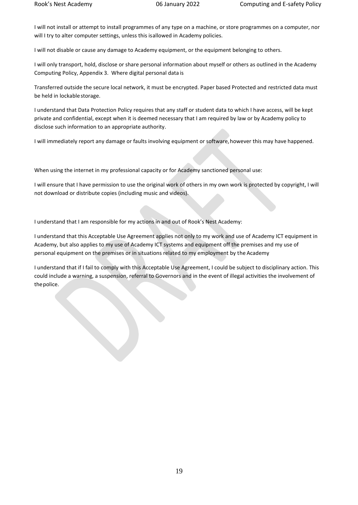I will not install or attempt to install programmes of any type on a machine, or store programmes on a computer, nor will I try to alter computer settings, unless this isallowed in Academy policies.

I will not disable or cause any damage to Academy equipment, or the equipment belonging to others.

I will only transport, hold, disclose or share personal information about myself or others as outlined in the Academy Computing Policy, Appendix 3. Where digital personal data is

Transferred outside the secure local network, it must be encrypted. Paper based Protected and restricted data must be held in lockable storage.

I understand that Data Protection Policy requires that any staff or student data to which I have access, will be kept private and confidential, except when it is deemed necessary that I am required by law or by Academy policy to disclose such information to an appropriate authority.

I will immediately report any damage or faults involving equipment or software,however this may have happened.

When using the internet in my professional capacity or for Academy sanctioned personal use:

I will ensure that I have permission to use the original work of others in my own work is protected by copyright, I will not download or distribute copies (including music and videos).

I understand that I am responsible for my actions in and out of Rook's Nest Academy:

I understand that this Acceptable Use Agreement applies not only to my work and use of Academy ICT equipment in Academy, but also applies to my use of Academy ICT systems and equipment off the premises and my use of personal equipment on the premises or in situations related to my employment by the Academy

I understand that if I fail to comply with this Acceptable Use Agreement, I could be subject to disciplinary action. This could include a warning, a suspension, referral to Governors and in the event of illegal activities the involvement of thepolice.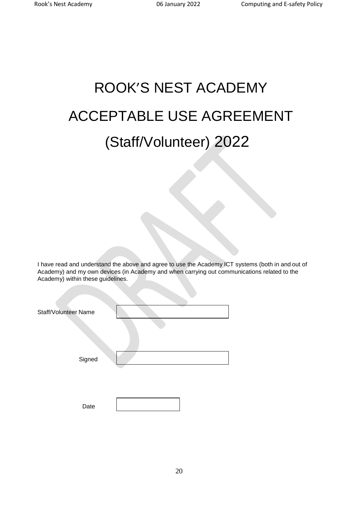# ROOK'S NEST ACADEMY ACCEPTABLE USE AGREEMENT (Staff/Volunteer) 2022

I have read and understand the above and agree to use the Academy ICT systems (both in and out of Academy) and my own devices (in Academy and when carrying out communications related to the Academy) within these guidelines.

| Staff/Volunteer Name |  |
|----------------------|--|
| Signed               |  |
| Date                 |  |